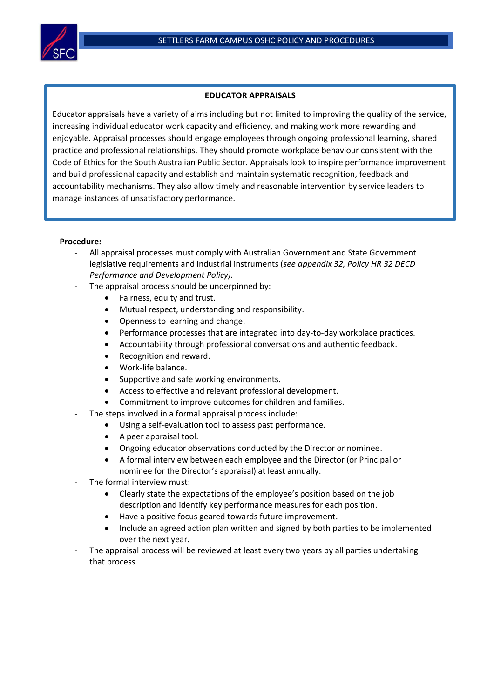

## **EDUCATOR APPRAISALS**

Educator appraisals have a variety of aims including but not limited to improving the quality of the service, increasing individual educator work capacity and efficiency, and making work more rewarding and enjoyable. Appraisal processes should engage employees through ongoing professional learning, shared practice and professional relationships. They should promote workplace behaviour consistent with the Code of Ethics for the South Australian Public Sector. Appraisals look to inspire performance improvement and build professional capacity and establish and maintain systematic recognition, feedback and accountability mechanisms. They also allow timely and reasonable intervention by service leaders to manage instances of unsatisfactory performance.

## **Procedure:**

- All appraisal processes must comply with Australian Government and State Government legislative requirements and industrial instruments (*see appendix 32, Policy HR 32 DECD Performance and Development Policy).*
- The appraisal process should be underpinned by:
	- Fairness, equity and trust.
	- Mutual respect, understanding and responsibility.
	- Openness to learning and change.
	- Performance processes that are integrated into day-to-day workplace practices.
	- Accountability through professional conversations and authentic feedback.
	- Recognition and reward.
	- Work-life balance.
	- Supportive and safe working environments.
	- Access to effective and relevant professional development.
	- Commitment to improve outcomes for children and families.
- The steps involved in a formal appraisal process include:
	- Using a self-evaluation tool to assess past performance.
	- A peer appraisal tool.
	- Ongoing educator observations conducted by the Director or nominee.
	- A formal interview between each employee and the Director (or Principal or nominee for the Director's appraisal) at least annually.
- The formal interview must:
	- Clearly state the expectations of the employee's position based on the job description and identify key performance measures for each position.
	- Have a positive focus geared towards future improvement.
	- Include an agreed action plan written and signed by both parties to be implemented over the next year.
- The appraisal process will be reviewed at least every two years by all parties undertaking that process